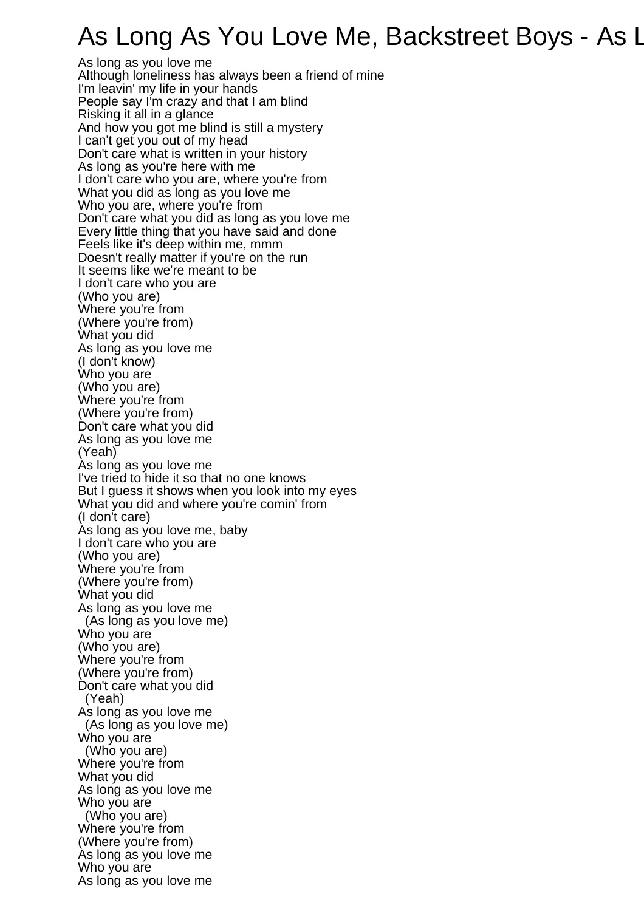## As Long As You Love Me, Backstreet Boys - As L

As long as you love me Although loneliness has always been a friend of mine I'm leavin' my life in your hands People say I'm crazy and that I am blind Risking it all in a glance And how you got me blind is still a mystery I can't get you out of my head Don't care what is written in your history As long as you're here with me I don't care who you are, where you're from What you did as long as you love me Who you are, where you're from Don't care what you did as long as you love me Every little thing that you have said and done Feels like it's deep within me, mmm Doesn't really matter if you're on the run It seems like we're meant to be I don't care who you are (Who you are) Where you're from (Where you're from) What you did As long as you love me (I don't know) Who you are (Who you are) Where you're from (Where you're from) Don't care what you did As long as you love me (Yeah) As long as you love me I've tried to hide it so that no one knows But I guess it shows when you look into my eyes What you did and where you're comin' from (I don't care) As long as you love me, baby I don't care who you are (Who you are) Where you're from (Where you're from) What you did As long as you love me (As long as you love me) Who you are (Who you are) Where you're from (Where you're from) Don't care what you did (Yeah) As long as you love me (As long as you love me) Who you are (Who you are) Where you're from What you did As long as you love me Who you are (Who you are) Where you're from (Where you're from) As long as you love me Who you are As long as you love me